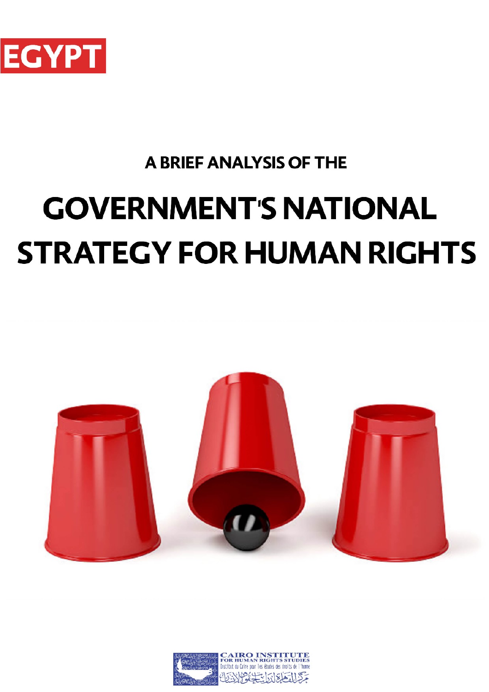

# **A BRIEF ANALYSIS OF THE GOVERNMENT'S NATIONAL STRATEGY FOR HUMAN RIGHTS**



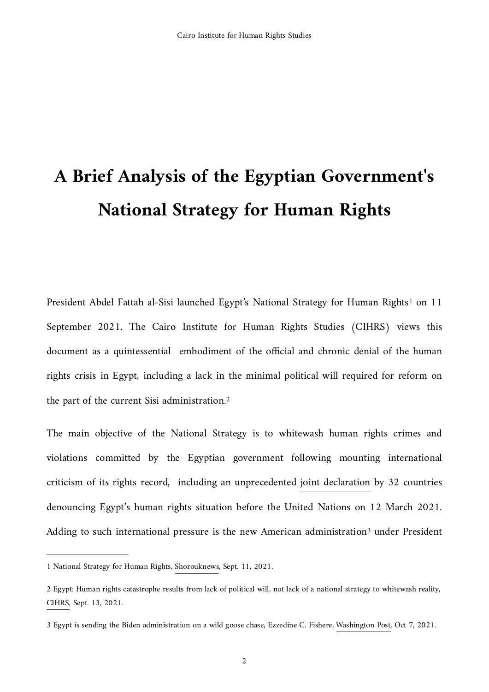# **A Brief Analysis of the Egyptian Government's National Strategy for Human Rights**

<span id="page-1-3"></span>President Abdel Fattah al-Sisi launched Egypt'[s](#page-1-0) National Strategy for Human Rights<sup>[1](#page-1-0)</sup> on 11 September 2021. The Cairo Institute for Human Rights Studies (CIHRS) views this document as a quintessential embodiment of the official and chronic denial of the human rights crisis in Egypt, including a lack in the minimal political will required for reform on the part of the current Sisi administration.[2](#page-1-1)

<span id="page-1-4"></span>The main objective of the National Strategy is to whitewash human rights crimes and violations committed by the Egyptian government following mounting international criticism of its rights record, including an unprecedented [joint declaration](https://cihrs.org/wp-content/uploads/2021/03/HRC46-JST-on-Egypt-item-4.pdf) by 32 countries denouncing Egypt's human rights situation before the United Nations on 12 March 2021. Adding to such international pressure is the new America[n](#page-1-2) administration<sup>[3](#page-1-2)</sup> under President

<span id="page-1-5"></span><span id="page-1-0"></span>[<sup>1</sup>](#page-1-3) National Strategy for Human Rights, [Shorouknews,](https://www.shorouknews.com/news/view.aspx?cdate=11092021&id=88806c01-6524-4d11-9fa8-c3feeeca8c93) Sept. 11, 2021.

<span id="page-1-1"></span>[<sup>2</sup>](#page-1-4) Egypt: Human rights catastrophe results from lack of political will, not lack of a national strategy to whitewash reality, [CIHRS](https://cihrs.org/egypt-human-rights-catastrophe-results-from-lack-of-political-will-not-lack-of-a-national-strategy-to-whitewash-reality/?lang=en), Sept. 13, 2021.

<span id="page-1-2"></span>[<sup>3</sup>](#page-1-5) Egypt is sending the Biden administration on a wild goose chase, Ezzedine C. Fishere, [Washington Post,](https://www.washingtonpost.com/s/opinions/2021/10/07/egypt-human-rights-strategy-sissi-biden-wild-goose-chase/) Oct 7, 2021.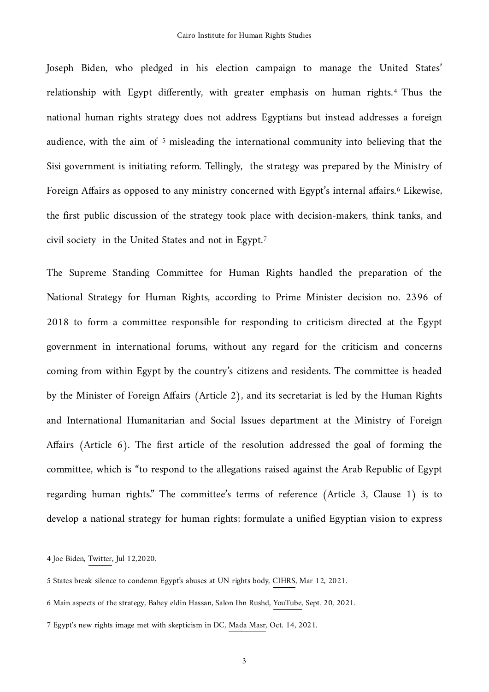<span id="page-2-5"></span><span id="page-2-4"></span>Joseph Biden, who pledged in his election campaign to manage the United States' relationship with Egypt differently, with greater emphasis on human rights.<sup>[4](#page-2-0)</sup> Thus the national human rights strategy does not address Egyptians but instead addresses a foreign audience, with the aim of  $5$  misleading the international community into believing that the Sisi government is initiating reform. Tellingly, the strategy was prepared by the Ministry of Foreign Affairs as opposed to any ministry concerned with Egypt's internal affairs.<sup>[6](#page-2-2)</sup> Likewise, the first public discussion of the strategy took place with decision-makers, think tanks, and civil society in the United States and not in Egypt.[7](#page-2-3)

<span id="page-2-7"></span><span id="page-2-6"></span>The Supreme Standing Committee for Human Rights handled the preparation of the National Strategy for Human Rights, according to Prime Minister decision no. 2396 of 2018 to form a committee responsible for responding to criticism directed at the Egypt government in international forums, without any regard for the criticism and concerns coming from within Egypt by the country's citizens and residents. The committee is headed by the Minister of Foreign Affairs (Article 2), and its secretariat is led by the Human Rights and International Humanitarian and Social Issues department at the Ministry of Foreign Affairs (Article 6). The first article of the resolution addressed the goal of forming the committee, which is "to respond to the allegations raised against the Arab Republic of Egypt regarding human rights." The committee's terms of reference (Article 3, Clause 1) is to develop a national strategy for human rights; formulate a unified Egyptian vision to express

<span id="page-2-0"></span>[<sup>4</sup>](#page-2-4) Joe Biden, [Twitter,](https://twitter.com/JoeBiden/status/1282419453939113989) Jul 12,2020.

<span id="page-2-1"></span>[<sup>5</sup>](#page-2-5) States break silence to condemn Egypt's abuses at UN rights body, [CIHRS,](https://cihrs.org/states-break-silence-to-condemn-egypts-abuses-at-un-rights-body/?lang=en) Mar 12, 2021.

<span id="page-2-2"></span>[<sup>6</sup>](#page-2-6) Main aspects of the strategy, Bahey eldin Hassan, Salon Ibn Rushd, [YouTube](https://www.youtube.com/watch?v=Zi_-BRw-xMA), Sept. 20, 2021.

<span id="page-2-3"></span>[<sup>7</sup>](#page-2-7) Egypt's new rights image met with skepticism in DC, [Mada Masr,](https://www.madamasr.com/en/2021/10/14/feature/politics/new-rights-image-met-with-skepticism-as-international-dialogue-group-puts-it-to-test-in-dc/) Oct. 14, 2021.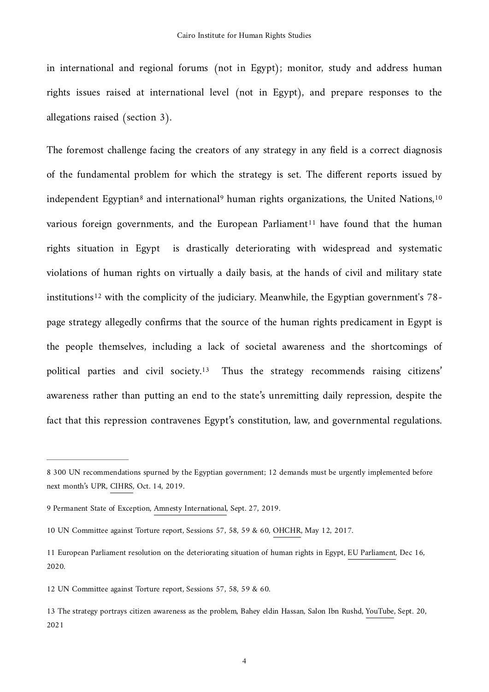in international and regional forums (not in Egypt); monitor, study and address human rights issues raised at international level (not in Egypt), and prepare responses to the allegations raised (section 3).

<span id="page-3-10"></span><span id="page-3-9"></span><span id="page-3-8"></span><span id="page-3-7"></span><span id="page-3-6"></span>The foremost challenge facing the creators of any strategy in any field is a correct diagnosis of the fundamental problem for which the strategy is set. The different reports issued by independent Egyptian<sup>8</sup> and international<sup>9</sup> huma[n](#page-3-0) rightsorganizations, the United Nations, <sup>[10](#page-3-2)</sup> various foreign governments, and the European Parliament<sup>11</sup> have found tha[t](#page-3-3) the human rights situation in Egypt is drastically deteriorating with widespread and systematic violations of human rights on virtually a daily basis, at the hands of civil and military state institutions<sup>12</sup>with the complicity of the judiciary. Meanwhile, the Egyptian government's  $78$ page strategy allegedly confirms that the source of the human rights predicament in Egypt is the people themselves, including a lack of societal awareness and the shortcomings of politicalparties and civil society.<sup>[13](#page-3-5)</sup> Thus the strategy recommends raising citizens' awareness rather than putting an end to the state's unremitting daily repression, despite the fact that this repression contravenes Egypt's constitution, law, and governmental regulations.

<span id="page-3-11"></span><span id="page-3-0"></span>[<sup>8</sup>](#page-3-6) 300 UN recommendations spurned by the Egyptian government; 12 demands must be urgently implemented before next month's UPR, [CIHRS,](https://cihrs.org/300-un-recommendations-spurned-by-the-egyptian-government-12-demands-must-be-urgently-implemented-before-next-months-upr/?lang=en) Oct. 14, 2019.

<span id="page-3-1"></span>[<sup>9</sup>](#page-3-7) Permanent State of Exception, [Amnesty International](https://www.amnesty.org/en/latest/campaigns/2019/11/egypt-permanent-state-of-exception-abuses-by-the-supreme-state-security-prosecution/), Sept. 27, 2019.

<span id="page-3-2"></span>[<sup>10</sup>](#page-3-8) UN Committee against Torture report, Sessions 57, 58, 59 & 60, [OHCHR](https://tbinternet.ohchr.org/_layouts/15/treatybodyexternal/Download.aspx?symbolno=A/72/44&amp;Lang=en), May 12, 2017.

<span id="page-3-3"></span>[<sup>11</sup>](#page-3-9) European Parliament resolution on the deteriorating situation of human rights in Egypt, [EU Parliament,](https://www.europarl.europa.eu/doceo/document/RC-9-2020-0426_EN.html) Dec 16, 2020.

<span id="page-3-4"></span>[<sup>12</sup>](#page-3-10) UN Committee against Torture report, Sessions 57, 58, 59 & 60.

<span id="page-3-5"></span>[<sup>13</sup>](#page-3-11) The strategy portrays citizen awareness as the problem, Bahey eldin Hassan, Salon Ibn Rushd, [YouTube,](https://www.youtube.com/watch?v=boUadVemyP0) Sept. 20, 2021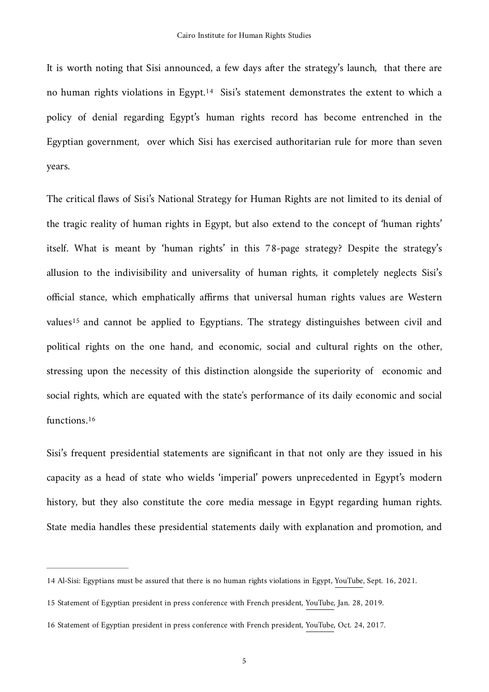<span id="page-4-3"></span>It is worth noting that Sisi announced, a few days after the strategy's launch, that there are no human rights violations in Egypt.<sup>[14](#page-4-0)</sup> Sisi's statement demonstrates the extent to which a policy of denial regarding Egypt's human rights record has become entrenched in the Egyptian government, over which Sisi has exercised authoritarian rule for more than seven years.

<span id="page-4-4"></span>The critical flaws of Sisi's National Strategy for Human Rights are not limited to its denial of the tragic reality of human rights in Egypt, but also extend to the concept of 'human rights' itself. What is meant by 'human rights' in this 78-page strategy? Despite the strategy's allusion to the indivisibility and universality of human rights, it completely neglects Sisi's official stance, which emphatically affirms that universal human rights values are Western values<sup>[15](#page-4-1)</sup> and cannot be applied to Egyptians. The strategy distinguishes between civil and political rights on the one hand, and economic, social and cultural rights on the other, stressing upon the necessity of this distinction alongside the superiority of economic and social rights, which are equated with the state's performance of its daily economic and social functions.<sup>16</sup>

<span id="page-4-5"></span>Sisi's frequent presidential statements are significant in that not only are they issued in his capacity as a head of state who wields 'imperial' powers unprecedented in Egypt's modern history, but they also constitute the core media message in Egypt regarding human rights. State media handles these presidential statements daily with explanation and promotion, and

<span id="page-4-0"></span>[<sup>14</sup>](#page-4-3) Al-Sisi: Egyptians must be assured that there is no human rights violations in Egypt, [YouTube](https://www.youtube.com/watch?v=90wFb1JgUX0), Sept. 16, 2021.

<span id="page-4-1"></span>[<sup>15</sup>](#page-4-4) Statement of Egyptian president in press conference with French president, [YouTube,](https://youtu.be/LJ3TjR5vA7g?t=2115) Jan. 28, 2019.

<span id="page-4-2"></span>[<sup>16</sup>](#page-4-5) Statement of Egyptian president in press conference with French president, [YouTube,](https://youtu.be/N5Uz0Y8ljjE?t=168) Oct. 24, 2017.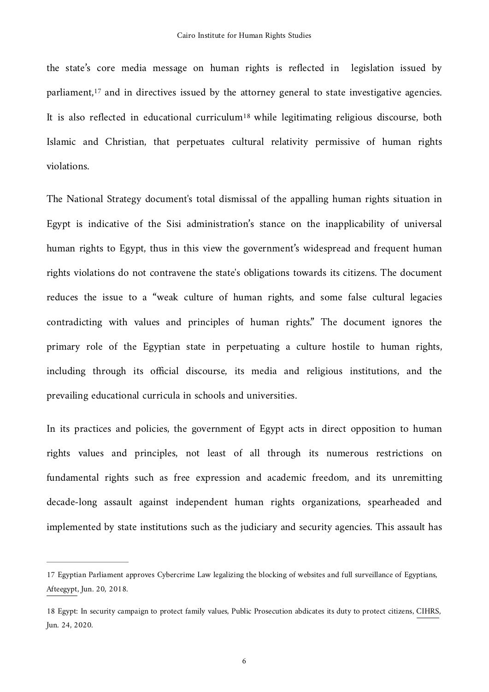<span id="page-5-3"></span><span id="page-5-2"></span>the state's core media message on human rights is reflected in legislation issued by parliament, $17$  and in directives issued by the attorney general to state investigative agencies. It is also reflected in educational curriculum<sup>[18](#page-5-1)</sup> while legitimating religious discourse, both Islamic and Christian, that perpetuates cultural relativity permissive of human rights violations.

The National Strategy document's total dismissal of the appalling human rights situation in Egypt is indicative of the Sisi administration's stance on the inapplicability of universal human rights to Egypt, thus in this view the government's widespread and frequent human rights violations do not contravene the state's obligations towards its citizens. The document reduces the issue to a "weak culture of human rights, and some false cultural legacies contradicting with values and principles of human rights." The document ignores the primary role of the Egyptian state in perpetuating a culture hostile to human rights, including through its official discourse, its media and religious institutions, and the prevailing educational curricula in schools and universities.

In its practices and policies, the government of Egypt acts in direct opposition to human rights values and principles, not least of all through its numerous restrictions on fundamental rights such as free expression and academic freedom, and its unremitting decade-long assault against independent human rights organizations, spearheaded and implemented by state institutions such as the judiciary and security agencies. This assault has

<span id="page-5-0"></span>[<sup>17</sup>](#page-5-2) Egyptian Parliament approves Cybercrime Law legalizing the blocking of websites and full surveillance of Egyptians, [Afteegypt](https://afteegypt.org/en/digital_freedoms-2/2018/06/20/15358-afteegypt.html), Jun. 20, 2018.

<span id="page-5-1"></span>[<sup>18</sup>](#page-5-3) Egypt: In security campaign to protect family values, Public Prosecution abdicates its duty to protect citizens, [CIHRS](https://cihrs.org/egypt-in-security-campaign-to-protect-family-values-public-prosecution-abdicates-its-duty-to-protect-citizens/?lang=en), Jun. 24, 2020.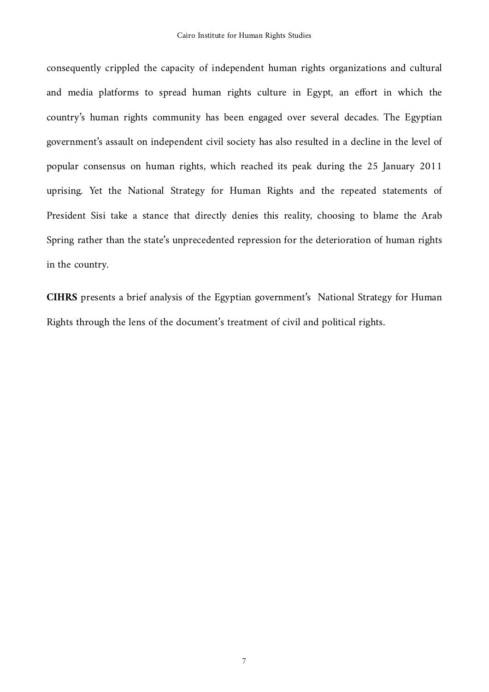consequently crippled the capacity of independent human rights organizations and cultural and media platforms to spread human rights culture in Egypt, an effort in which the country's human rights community has been engaged over several decades. The Egyptian government's assault on independent civil society has also resulted in a decline in the level of popular consensus on human rights, which reached its peak during the 25 January 2011 uprising. Yet the National Strategy for Human Rights and the repeated statements of President Sisi take a stance that directly denies this reality, choosing to blame the Arab Spring rather than the state's unprecedented repression for the deterioration of human rights in the country.

**CIHRS** presents a brief analysis of the Egyptian government's National Strategy for Human Rights through the lens of the document's treatment of civil and political rights.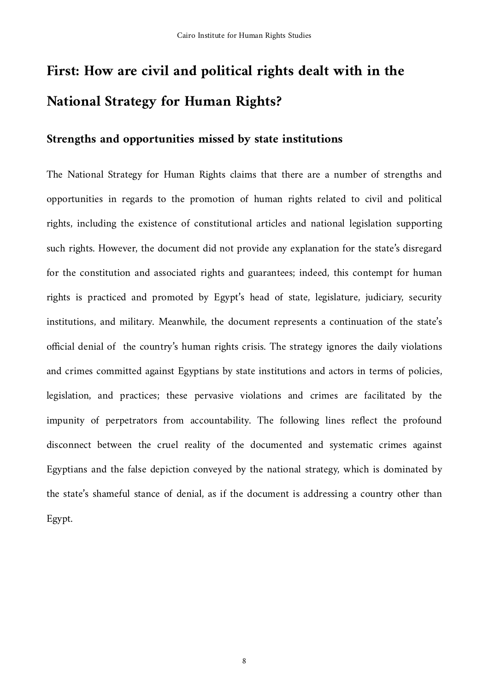## **First: How are civil and political rights dealt with in the National Strategy for Human Rights?**

### **Strengths and opportunities missed by state institutions**

The National Strategy for Human Rights claims that there are a number of strengths and opportunities in regards to the promotion of human rights related to civil and political rights, including the existence of constitutional articles and national legislation supporting such rights. However, the document did not provide any explanation for the state's disregard for the constitution and associated rights and guarantees; indeed, this contempt for human rights is practiced and promoted by Egypt's head of state, legislature, judiciary, security institutions, and military. Meanwhile, the document represents a continuation of the state's official denial of the country's human rights crisis. The strategy ignores the daily violations and crimes committed against Egyptians by state institutions and actors in terms of policies, legislation, and practices; these pervasive violations and crimes are facilitated by the impunity of perpetrators from accountability. The following lines reflect the profound disconnect between the cruel reality of the documented and systematic crimes against Egyptians and the false depiction conveyed by the national strategy, which is dominated by the state's shameful stance of denial, as if the document is addressing a country other than Egypt.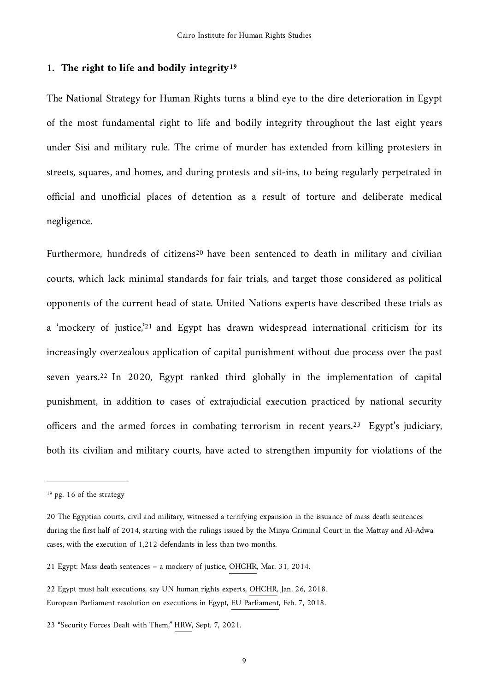### <span id="page-8-5"></span>**1. The right to life and bodily integrit[y19](#page-8-0)**

The National Strategy for Human Rights turns a blind eye to the dire deterioration in Egypt of the most fundamental right to life and bodily integrity throughout the last eight years under Sisi and military rule. The crime of murder has extended from killing protesters in streets, squares, and homes, and during protests and sit-ins, to being regularly perpetrated in official and unofficial places of detention as a result of torture and deliberate medical negligence.

<span id="page-8-8"></span><span id="page-8-7"></span><span id="page-8-6"></span>Furthermore, hundred[s](#page-8-1) of citizens<sup>[20](#page-8-1)</sup> have been sentenced to death in military and civilian courts, which lack minimal standards for fair trials, and target those considered as political opponents of the current head of state. United Nations experts have described these trials as a ['](#page-8-2)mockery of justice,<sup>'[21](#page-8-2)</sup> and Egypt has drawn widespread international criticism for its increasingly overzealous application of capital punishment without due process over the past sevenyears.<sup>[22](#page-8-3)</sup> In 2020, Egypt ranked third globally in the implementation of capital punishment, in addition to cases of extrajudicial execution practiced by national security officers and the armed forces in combating terrorism in recent years[.](#page-8-4)<sup>[23](#page-8-4)</sup> Egypt's judiciary, both its civilian and military courts, have acted to strengthen impunity for violations of the

<span id="page-8-9"></span><span id="page-8-0"></span>[<sup>19</sup>](#page-8-5) pg. 16 of the strategy

<span id="page-8-1"></span>[<sup>20</sup>](#page-8-6) The Egyptian courts, civil and military, witnessed a terrifying expansion in the issuance of mass death sentences during the first half of 2014, starting with the rulings issued by the Minya Criminal Court in the Mattay and Al-Adwa cases, with the execution of 1,212 defendants in less than two months.

<span id="page-8-2"></span>[<sup>21</sup>](#page-8-7) Egypt: Mass death sentences – a mockery of justice, [OHCHR,](https://www.ohchr.org/en/NewsEvents/Pages/DisplayNews.aspx?NewsID=14457&LangID=en) Mar. 31, 2014.

<span id="page-8-3"></span>[<sup>22</sup>](#page-8-8) Egypt must halt executions, say UN human rights experts, [OHCHR,](https://www.ohchr.org/EN/NewsEvents/Pages/DisplayNews.aspx?NewsID=22613&LangID=E) Jan. 26, 2018. European Parliament resolution on executions in Egypt, [EU Parliament,](https://www.europarl.europa.eu/doceo/document/RC-8-2018-0109_EN.html?redirect) Feb. 7, 2018.

<span id="page-8-4"></span>[<sup>23</sup>](#page-8-9) "Security Forces Dealt with Them," [HRW,](https://www.hrw.org/report/2021/09/07/security-forces-dealt-them/suspicious-killings-and-extrajudicial-executions) Sept. 7, 2021.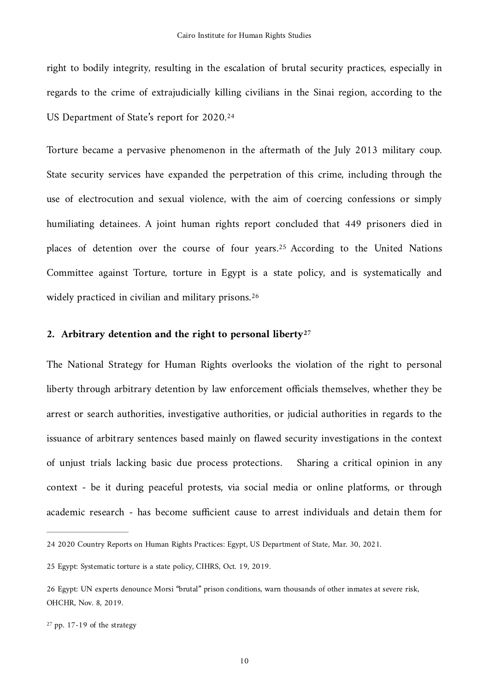right to bodily integrity, resulting in the escalation of brutal security practices, especially in regards to the crime of extrajudicially killing civilians in the Sinai region, according to the US Department of State's report for 2020[.24](#page-9-0)

<span id="page-9-4"></span>Torture became a pervasive phenomenon in the aftermath of the July 2013 military coup. State security services have expanded the perpetration of this crime, including through the use of electrocution and sexual violence, with the aim of coercing confessions or simply humiliating detainees. A joint human rights report concluded that 449 prisoners died in places of detention over the course of four years.<sup>[25](#page-9-1)</sup> According to the United Nations Committee against Torture, torture in Egypt is a state policy, and is systematically and widely practiced in civilian and military prisons.<sup>26</sup>

#### <span id="page-9-7"></span><span id="page-9-6"></span><span id="page-9-5"></span>**2. Arbitrary detention and the right to personal liberty[27](#page-9-3)**

The National Strategy for Human Rights overlooks the violation of the right to personal liberty through arbitrary detention by law enforcement officials themselves, whether they be arrest or search authorities, investigative authorities, or judicial authorities in regards to the issuance of arbitrary sentences based mainly on flawed security investigations in the context of unjust trials lacking basic due process protections. Sharing a critical opinion in any context - be it during peaceful protests, via social media or online platforms, or through academic research - has become sufficient cause to arrest individuals and detain them for

<span id="page-9-0"></span>[<sup>24</sup>](#page-9-4) 2020 Country Reports on Human Rights Practices: Egypt, [US Department of State,](https://www.state.gov/reports/2020-country-reports-on-human-rights-practices/egypt/) Mar. 30, 2021.

<span id="page-9-1"></span>[<sup>25</sup>](#page-9-5) Egypt: Systematic torture is a state policy, [CIHRS,](https://cihrs.org/egypt-systematic-torture-is-a-state-policy/?lang=en) Oct. 19, 2019.

<span id="page-9-2"></span>[<sup>26</sup>](#page-9-6) Egypt: UN experts denounce Morsi "brutal" prison conditions, warn thousands of other inmates at severe risk, [OHCHR,](https://www.ohchr.org/en/NewsEvents/Pages/DisplayNews.aspx?NewsID=25270&LangID=E&fbclid=IwAR2Ip1mh08mnIUPz4o4qZmTGmOICrbpzBKVLW-wEKA253Xe1x0eXlYHLhqg) Nov. 8, 2019.

<span id="page-9-3"></span> $27$  pp. 17-19 of the strategy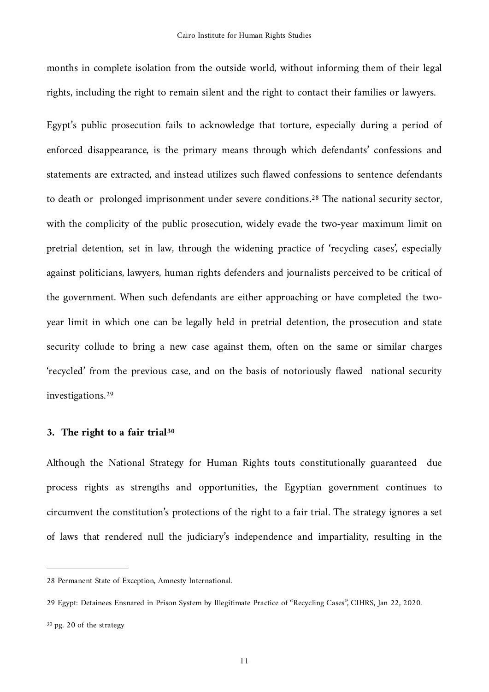months in complete isolation from the outside world, without informing them of their legal rights, including the right to remain silent and the right to contact their families or lawyers.

<span id="page-10-3"></span>Egypt's public prosecution fails to acknowledge that torture, especially during a period of enforced disappearance, is the primary means through which defendants' confessions and statements are extracted, and instead utilizes such flawed confessions to sentence defendants to death or prolonged imprisonment under severe conditions.<sup>[28](#page-10-0)</sup> The national security sector, with the complicity of the public prosecution, widely evade the two-year maximum limit on pretrial detention, set in law, through the widening practice of 'recycling cases', especially against politicians, lawyers, human rights defenders and journalists perceived to be critical of the government. When such defendants are either approaching or have completed the twoyear limit in which one can be legally held in pretrial detention, the prosecution and state security collude to bring a new case against them, often on the same or similar charges 'recycled' from the previous case, and on the basis of notoriously flawed national security investigations[.29](#page-10-1)

#### <span id="page-10-5"></span><span id="page-10-4"></span>**3. The right to a fair trial[30](#page-10-2)**

Although the National Strategy for Human Rights touts constitutionally guaranteed due process rights as strengths and opportunities, the Egyptian government continues to circumvent the constitution's protections of the right to a fair trial. The strategy ignores a set of laws that rendered null the judiciary's independence and impartiality, resulting in the

<span id="page-10-0"></span>[<sup>28</sup>](#page-10-3) Permanent State of Exception, [Amnesty International](https://www.amnesty.org/en/latest/campaigns/2019/11/egypt-permanent-state-of-exception-abuses-by-the-supreme-state-security-prosecution/).

<span id="page-10-1"></span>[<sup>29</sup>](#page-10-4) Egypt: Detainees Ensnared in Prison System by Illegitimate Practice of "Recycling Cases", [CIHRS](https://cihrs.org/egypt-detainees-ensnared-in-prison-system-by-illegitimate-practice-of-recycling-cases-tampering-with-egypts-judiciary-to-keep-government-critics-perpetually-behind-bars/?lang=en), Jan 22, 2020.

<span id="page-10-2"></span>[<sup>30</sup>](#page-10-5) pg. 20 of the strategy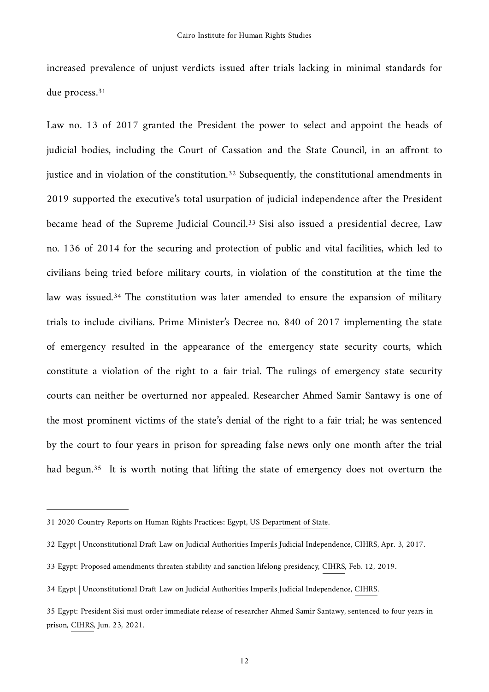<span id="page-11-5"></span>increased prevalence of unjust verdicts issued after trials lacking in minimal standards for due process.[31](#page-11-0)

<span id="page-11-8"></span><span id="page-11-7"></span><span id="page-11-6"></span>Law no. 13 of 2017 granted the President the power to select and appoint the heads of judicial bodies, including the Court of Cassation and the State Council, in an affront to justice and in violation of the constitution[.](#page-11-1)<sup>[32](#page-11-1)</sup> Subsequently, the constitutional amendments in 2019 supported the executive's total usurpation of judicial independence after the President became head of the Supreme Judicial Council[.](#page-11-2)<sup>[33](#page-11-2)</sup> Sisi also issued a presidential decree, Law no. 136 of 2014 for the securing and protection of public and vital facilities, which led to civilians being tried before military courts, in violation of the constitution at the time the law was issued.<sup>[34](#page-11-3)</sup> The constitution was later amended to ensure the expansion of military trials to include civilians. Prime Minister's Decree no. 840 of 2017 implementing the state of emergency resulted in the appearance of the emergency state security courts, which constitute a violation of the right to a fair trial. The rulings of emergency state security courts can neither be overturned nor appealed. Researcher Ahmed Samir Santawy is one of the most prominent victims of the state's denial of the right to a fair trial; he was sentenced by the court to four years in prison for spreading false news only one month after the trial had begun[.](#page-11-4)<sup>[35](#page-11-4)</sup> It is worth noting that lifting the state of emergency does not overturn the

<span id="page-11-9"></span><span id="page-11-0"></span>[<sup>31</sup>](#page-11-5) 2020 Country Reports on Human Rights Practices: Egypt, [US Department of State.](https://www.state.gov/reports/2020-country-reports-on-human-rights-practices/egypt/)

<span id="page-11-1"></span>[<sup>32</sup>](#page-11-6) Egypt | Unconstitutional Draft Law on Judicial Authorities Imperils Judicial Independence, [CIHRS,](https://cihrs.org/egypt-unconstitutional-parliamentary-draft-law-on-judicial-authorities-imperils-judicial-independence/?lang=en) Apr. 3, 2017.

<span id="page-11-2"></span>[<sup>33</sup>](#page-11-7) Egypt: Proposed amendments threaten stability and sanction lifelong presidency, [CIHRS](https://cihrs.org/egypt-proposed-amendments-threaten-stability-and-sanction-lifelong-presidency/?lang=en), Feb. 12, 2019.

<span id="page-11-3"></span>[<sup>34</sup>](#page-11-8) Egypt | Unconstitutional Draft Law on Judicial Authorities Imperils Judicial Independence, [CIHRS.](https://cihrs.org/egypt-unconstitutional-parliamentary-draft-law-on-judicial-authorities-imperils-judicial-independence/?lang=en)

<span id="page-11-4"></span>[<sup>35</sup>](#page-11-9) Egypt: President Sisi must order immediate release of researcher Ahmed Samir Santawy, sentenced to four years in prison, [CIHRS](https://cihrs.org/egypt-president-sisi-must-order-immediate-release-of-researcher-ahmed-samir-santawy-sentenced-to-four-years-in-prison/?lang=en), Jun. 23, 2021.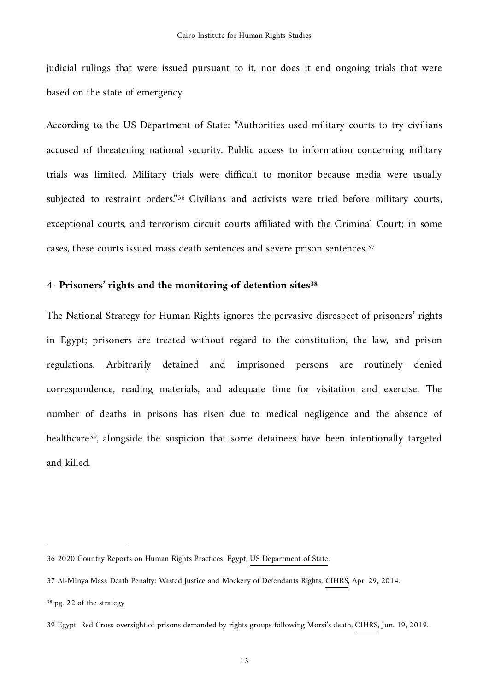judicial rulings that were issued pursuant to it, nor does it end ongoing trials that were based on the state of emergency.

<span id="page-12-4"></span>According to the US Department of State: "Authorities used military courts to try civilians accused of threatening national security. Public access to information concerning military trials was limited. Military trials were difficult to monitor because media were usually subjected to restraint orders.["](#page-12-0)<sup>[36](#page-12-0)</sup> Civilians and activists were tried before military courts, exceptional courts, and terrorism circuit courts affiliated with the Criminal Court; in some cases, these courts issued mass death sentences and severe prison sentences[.37](#page-12-1)

### <span id="page-12-6"></span><span id="page-12-5"></span>**4- Prisoners' rights and the monitoring of detention sites[38](#page-12-2)**

<span id="page-12-7"></span>The National Strategy for Human Rights ignores the pervasive disrespect of prisoners' rights in Egypt; prisoners are treated without regard to the constitution, the law, and prison regulations. Arbitrarily detained and imprisoned persons are routinely denied correspondence, reading materials, and adequate time for visitation and exercise. The number of deaths in prisons has risen due to medical negligence and the absence of healthcare<sup>[39](#page-12-3)</sup>, alongside the suspicion that some detainees have been intentionally targeted and killed.

<span id="page-12-0"></span>[<sup>36</sup>](#page-12-4) 2020 Country Reports on Human Rights Practices: Egypt, [US Department of State.](https://www.state.gov/reports/2020-country-reports-on-human-rights-practices/egypt/)

<span id="page-12-1"></span>[<sup>37</sup>](#page-12-5) Al-Minya Mass Death Penalty: Wasted Justice and Mockery of Defendants Rights, [CIHRS](https://cihrs.org/al-minya-mass-death-penalty-wasted-justice-and-mockery-of-defendants-rights/?lang=en), Apr. 29, 2014.

<span id="page-12-2"></span>[<sup>38</sup>](#page-12-6) pg. 22 of the strategy

<span id="page-12-3"></span>[<sup>39</sup>](#page-12-7) Egypt: Red Cross oversight of prisons demanded by rights groups following Morsi's death, [CIHRS](https://cihrs.org/egypt-red-cross-oversight-of-prisons-demanded-by-rights-groups-following-morsis-death/?lang=en), Jun. 19, 2019.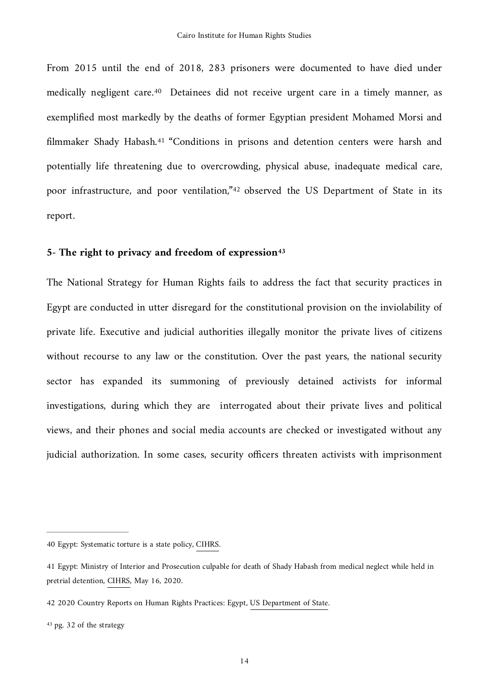<span id="page-13-5"></span><span id="page-13-4"></span>From 2015 until the end of 2018, 283 prisoners were documented to have died under medically negligent care.<sup>[40](#page-13-0)</sup> Detainees did not receive urgent care in a timely manner, as exemplified most markedly by the deaths of former Egyptian president Mohamed Morsi and filmmakerShady Habash.<sup>[41](#page-13-1)</sup> "Conditions in prisons and detention centers were harsh and potentially life threatening due to overcrowding, physical abuse, inadequate medical care, poor infrastructure, and poor ventilation,"<sup>[42](#page-13-2)</sup> observed the US Department of State in its report.

### <span id="page-13-7"></span><span id="page-13-6"></span>5- The right to privacy and freedom of expression<sup>43</sup>

The National Strategy for Human Rights fails to address the fact that security practices in Egypt are conducted in utter disregard for the constitutional provision on the inviolability of private life. Executive and judicial authorities illegally monitor the private lives of citizens without recourse to any law or the constitution. Over the past years, the national security sector has expanded its summoning of previously detained activists for informal investigations, during which they are interrogated about their private lives and political views, and their phones and social media accounts are checked or investigated without any judicial authorization. In some cases, security officers threaten activists with imprisonment

<span id="page-13-3"></span>[43](#page-13-7) pg. 32 of the strategy

<span id="page-13-0"></span>[<sup>40</sup>](#page-13-4) Egypt: Systematic torture is a state policy, [CIHRS.](https://cihrs.org/egypt-systematic-torture-is-a-state-policy/?lang=en)

<span id="page-13-1"></span>[<sup>41</sup>](#page-13-5) Egypt: Ministry of Interior and Prosecution culpable for death of Shady Habash from medical neglect while held in pretrial detention, [CIHRS,](https://cihrs.org/egypt-ministry-of-interior-and-prosecution-culpable-for-death-of-shady-habash-from-medical-neglect-while-held-in-pretrial-detention/?lang=en) May 16, 2020.

<span id="page-13-2"></span>[<sup>42</sup>](#page-13-6) 2020 Country Reports on Human Rights Practices: Egypt, [US Department of State.](https://www.state.gov/reports/2020-country-reports-on-human-rights-practices/egypt/)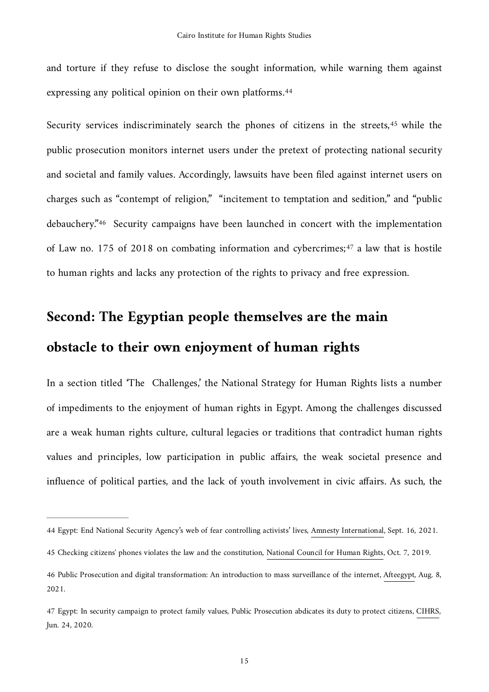<span id="page-14-4"></span>and torture if they refuse to disclose the sought information, while warning them against expressing any political opinion on their own platforms.[44](#page-14-0)

<span id="page-14-6"></span><span id="page-14-5"></span>Security services indiscriminately search the phones of citizens in the streets[,](#page-14-1)<sup>[45](#page-14-1)</sup> while the public prosecution monitors internet users under the pretext of protecting national security and societal and family values. Accordingly, lawsuits have been filed against internet users on charges such as "contempt of religion," "incitement to temptation and sedition," and "public debauchery."<sup>[46](#page-14-2)</sup> Security campaigns have been launched in concert with the implementation ofLaw no. 175 of 2018 on combating information and cybercrimes; $47$  a law that is hostile to human rights and lacks any protection of the rights to privacy and free expression.

### <span id="page-14-7"></span>**Second: The Egyptian people themselves are the main obstacle to their own enjoyment of human rights**

In a section titled 'The Challenges,' the National Strategy for Human Rights lists a number of impediments to the enjoyment of human rights in Egypt. Among the challenges discussed are a weak human rights culture, cultural legacies or traditions that contradict human rights values and principles, low participation in public affairs, the weak societal presence and influence of political parties, and the lack of youth involvement in civic affairs. As such, the

<span id="page-14-0"></span>[<sup>44</sup>](#page-14-4) Egypt: End National Security Agency's web of fear controlling activists' lives, [Amnesty International,](https://www.amnesty.org/en/latest/news/2021/09/egypt-end-national-security-agencys-web-of-fear-controlling-activists-lives/) Sept. 16, 2021.

<span id="page-14-1"></span>[<sup>45</sup>](#page-14-5) Checking citizens' phones violates the law and the constitution, [National Council for Human Rights](https://nchr.eg/en/news-details/10), Oct. 7, 2019.

<span id="page-14-2"></span>[<sup>46</sup>](#page-14-6) Public Prosecution and digital transformation: An introduction to mass surveillance of the internet, [Afteegypt](https://afteegypt.org/en/digital_freedoms-2/2021/08/08/24363-afteegypt.html), Aug. 8, 2021.

<span id="page-14-3"></span>[<sup>47</sup>](#page-14-7) Egypt: In security campaign to protect family values, Public Prosecution abdicates its duty to protect citizens, [CIHRS](https://cihrs.org/egypt-in-security-campaign-to-protect-family-values-public-prosecution-abdicates-its-duty-to-protect-citizens/?lang=en), Jun. 24, 2020.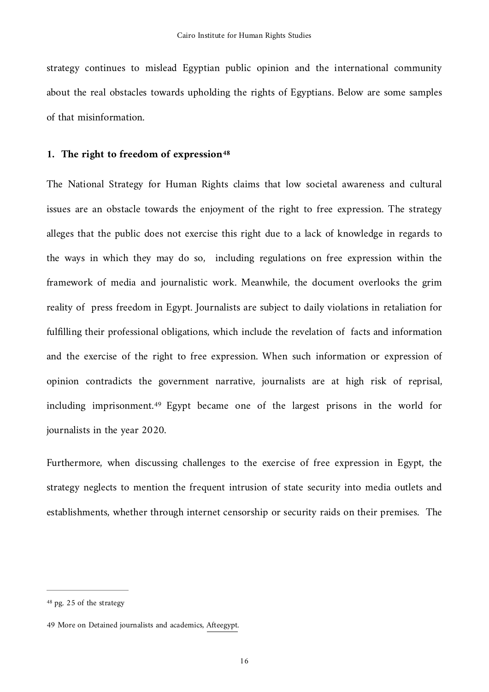strategy continues to mislead Egyptian public opinion and the international community about the real obstacles towards upholding the rights of Egyptians. Below are some samples of that misinformation.

### <span id="page-15-2"></span>1. The right to freedom of expression<sup>48</sup>

The National Strategy for Human Rights claims that low societal awareness and cultural issues are an obstacle towards the enjoyment of the right to free expression. The strategy alleges that the public does not exercise this right due to a lack of knowledge in regards to the ways in which they may do so, including regulations on free expression within the framework of media and journalistic work. Meanwhile, the document overlooks the grim reality of press freedom in Egypt. Journalists are subject to daily violations in retaliation for fulfilling their professional obligations, which include the revelation of facts and information and the exercise of the right to free expression. When such information or expression of opinion contradicts the government narrative, journalists are at high risk of reprisal, includingimprisonment.<sup>[49](#page-15-1)</sup> Egypt became one of the largest prisons in the world for journalists in the year 2020.

<span id="page-15-3"></span>Furthermore, when discussing challenges to the exercise of free expression in Egypt, the strategy neglects to mention the frequent intrusion of state security into media outlets and establishments, whether through internet censorship or security raids on their premises. The

<span id="page-15-0"></span>[<sup>48</sup>](#page-15-2) pg. 25 of the strategy

<span id="page-15-1"></span>[<sup>49</sup>](#page-15-3) More on Detained journalists and academics, [Afteegypt](https://afteegypt.org/en/profiles_en).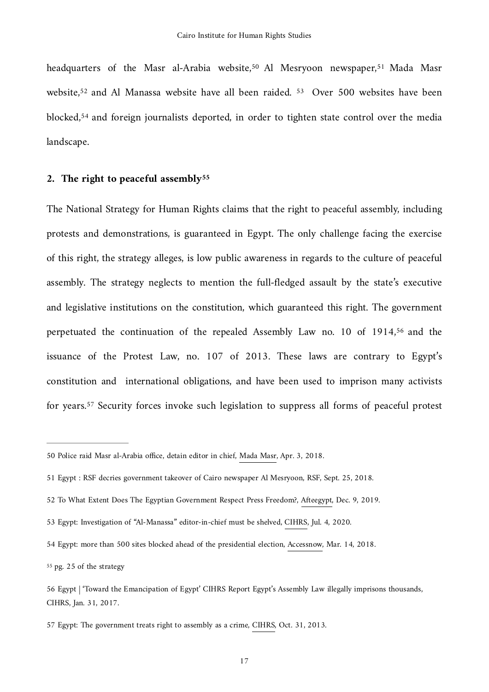<span id="page-16-12"></span><span id="page-16-11"></span><span id="page-16-10"></span><span id="page-16-9"></span><span id="page-16-8"></span>headquarters of the Masr al-Arabia website[,](#page-16-1)<sup>[50](#page-16-0)</sup> Al Mesryoon newspaper,<sup>51</sup> Mada Masr website,<sup>[52](#page-16-2)</sup> and Al Manassa website have all been raided. <sup>53</sup> Over 500 websites have been blocked,<sup>54</sup>and foreign journalists deported, in order to tighten state control over the media landscape.

### <span id="page-16-13"></span>**2. The right to peaceful assembl[y55](#page-16-5)**

<span id="page-16-14"></span>The National Strategy for Human Rights claims that the right to peaceful assembly, including protests and demonstrations, is guaranteed in Egypt. The only challenge facing the exercise of this right, the strategy alleges, is low public awareness in regards to the culture of peaceful assembly. The strategy neglects to mention the full-fledged assault by the state's executive and legislative institutions on the constitution, which guaranteed this right. The government perpetuatedthe continuation of the repealed Assembly Law no. 10 of  $1914,56$  $1914,56$  and the issuance of the Protest Law, no. 107 of 2013. These laws are contrary to Egypt's constitution and international obligations, and have been used to imprison many activists foryears.<sup>[57](#page-16-7)</sup> Security forces invoke such legislation to suppress all forms of peaceful protest

<span id="page-16-15"></span><span id="page-16-0"></span>[<sup>50</sup>](#page-16-8) Police raid Masr al-Arabia office, detain editor in chief, [Mada Masr,](https://www.madamasr.com/en/2018/04/03/news/u/police-raid-masr-al-arabia-office-detain-editor-in-chief-in-connection-to-election-coverage-fine/) Apr. 3, 2018.

<span id="page-16-1"></span>[<sup>51</sup>](#page-16-9) Egypt : RSF decries government takeover of Cairo newspaper Al Mesryoon, RSF, Sept. 25, 2018.

<span id="page-16-2"></span>[<sup>52</sup>](#page-16-10) To What Extent Does The Egyptian Government Respect Press Freedom?, [Afteegypt,](https://afteegypt.org/en/afte_publications/2019/12/09/18262-afteegypt.html) Dec. 9, 2019.

<span id="page-16-3"></span>[<sup>53</sup>](#page-16-11) Egypt: Investigation of "Al-Manassa" editor-in-chief must be shelved, [CIHRS,](https://cihrs.org/egypt-investigation-of-al-manassa-editor-in-chief-must-be-shelved/?lang=en) Jul. 4, 2020.

<span id="page-16-4"></span>[<sup>54</sup>](#page-16-12) Egypt: more than 500 sites blocked ahead of the presidential election, [Accessnow,](https://www.accessnow.org/egypt-more-than-500-sites-blocked-ahead-of-the-presidential-election/) Mar. 14, 2018.

<span id="page-16-5"></span>[<sup>55</sup>](#page-16-13) pg. 25 of the strategy

<span id="page-16-6"></span>[<sup>56</sup>](#page-16-14) Egypt | 'Toward the Emancipation of Egypt' CIHRS Report Egypt's Assembly Law illegally imprisons thousands, [CIHRS](https://cihrs.org/%25D9%2586%25D8%25AD%25D9%2588-%25D8%25A7%25D9%2584%25D8%25A5%25D9%2581%25D8%25B1%25D8%25A7%25D8%25AC-%25D8%25B9%25D9%2586-%25D9%2585%25D8%25B5%25D8%25B1-%25D8%25AA%25D9%2582%25D8%25B1%25D9%258A%25D8%25B1%25D9%258A%25D8%25A4%25D9%2583%25D8%25AF-%25D8%25A2%25D9%2584%25D8%25A7%25D9%2581-%25D8%25A7%25D9%2584%25D9%2585/?lang=en), Jan. 31, 2017.

<span id="page-16-7"></span>[<sup>57</sup>](#page-16-15) Egypt: The government treats right to assembly as a crime, [CIHRS](https://cihrs.org/%25D9%2581%25D9%258A-%25D8%25AA%25D8%25B9%25D9%2584%25D9%258A%25D9%2582%25D9%2587%25D8%25A7-%25D8%25B9%25D9%2584%25D9%2589-%25D9%2585%25D8%25B4%25D8%25B1%25D9%2588%25D8%25B9-%25D9%2582%25D8%25A7%25D9%2586%25D9%2588%25D9%2586-%25D8%25A7%25D9%2584%25D8%25AA%25D8%25B8%25D8%25A7%25D9%2587%25D8%25B1-%25D9%2585%25D9%2586%25D8%25B8/), Oct. 31, 2013.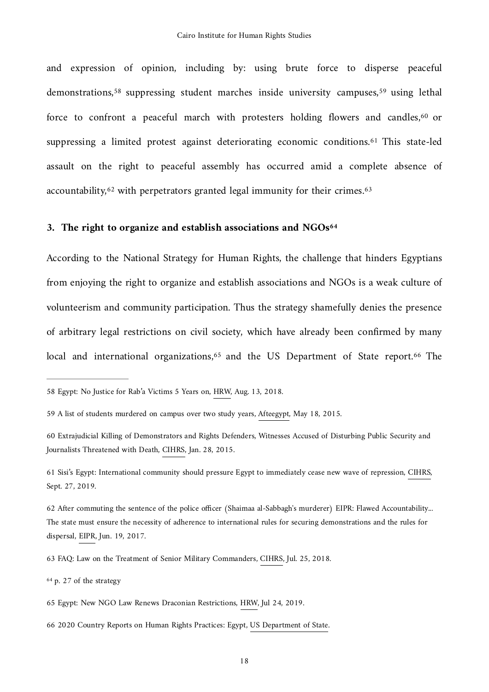<span id="page-17-12"></span><span id="page-17-11"></span><span id="page-17-10"></span><span id="page-17-9"></span>and expression of opinion, including by: using brute force to disperse peaceful demonstrations,<sup>58</sup>suppressing student marches inside university campuses,<sup>59</sup> using lethal force to confront a peaceful march with protesters holding flowers and candles[,](#page-17-2) $60$  or suppressing a limited protest against deteriorating economic conditions.<sup>[61](#page-17-3)</sup> This state-led assault on the right to peaceful assembly has occurred amid a complete absence of accountability, $62$  with perpetrators granted legal immunity for their crimes.  $63$ 

#### <span id="page-17-15"></span><span id="page-17-14"></span><span id="page-17-13"></span>**3. The right to organize and establish associations and NGOs[64](#page-17-6)**

According to the National Strategy for Human Rights, the challenge that hinders Egyptians from enjoying the right to organize and establish associations and NGOs is a weak culture of volunteerism and community participation. Thus the strategy shamefully denies the presence of arbitrary legal restrictions on civil society, which have already been confirmed by many local and international organizations[,](#page-17-7) $65$  and the US Department of State report.  $66$  The

<span id="page-17-6"></span>[64](#page-17-15) p. 27 of the strategy

<span id="page-17-17"></span><span id="page-17-16"></span><span id="page-17-0"></span>[<sup>58</sup>](#page-17-9) Egypt: No Justice for Rab'a Victims 5 Years on, [HRW](https://www.hrw.org/news/2018/08/13/egypt-no-justice-raba-victims-5-years), Aug. 13, 2018.

<span id="page-17-1"></span>[<sup>59</sup>](#page-17-10) A list of students murdered on campus over two study years, [Afteegypt](https://afteegypt.org/academic_freedom/2015/05/18/10239-afteegypt.html), May 18, 2015.

<span id="page-17-2"></span>[<sup>60</sup>](#page-17-11) Extrajudicial Killing of Demonstrators and Rights Defenders, Witnesses Accused of Disturbing Public Security and Journalists Threatened with Death, [CIHRS](https://cihrs.org/extrajudicial-killing-of-demonstrators-and-rights-defenders-witnesses-accused-of-disturbing-public-security-and-journalists-threatened-with-death/?lang=en), Jan. 28, 2015.

<span id="page-17-3"></span>[<sup>61</sup>](#page-17-12) Sisi's Egypt: International community should pressure Egypt to immediately cease new wave of repression, [CIHRS,](https://cihrs.org/sisis-egypt-international-community-should-pressure-egypt-to-immediately-cease-new-wave-of-repression/?lang=en) Sept. 27, 2019.

<span id="page-17-4"></span>[<sup>62</sup>](#page-17-13) After commuting the sentence of the police officer (Shaimaa al-Sabbagh's murderer) EIPR: Flawed Accountability... The state must ensure the necessity of adherence to international rules for securing demonstrations and the rules for dispersal, [EIPR](https://eipr.org/press/2017/06/%25D8%25A8%25D8%25B9%25D8%25AF-%25D8%25AA%25D8%25AE%25D9%2581%25D9%258A%25D9%2581-%25D8%25AD%25D9%2583%25D9%2585-%25D8%25B6%25D8%25A7%25D8%25A8%25D8%25B7-%25D8%25A7%25D9%2584%25D8%25B4%25D8%25B1%25D8%25B7%25D8%25A9-%25D9%2582%25D8%25A7%25D8%25AA%25D9%2584-%25D8%25B4%25D9%258A%25D9%2585%25D8%25A7%25D8%25A1-%25D8%25A7%25D9%2584%25D8%25B5%25D8%25A8%25D8%25A7%25D8%25BA-%25D8%25A7%25D9%2584%25D9%2585%25D8%25A8%25D8%25A7%25D8%25AF%25D8%25B1%25D8%25A9-%25D8%25A7%25D9%2584%25D9%2585%25D8%25B5%25D8%25B1%25D9%258A%25D8%25A9-%25D9%2585%25D8%25AD%25D8%25A7%25D8%25B3%25D8%25A8%25D8%25A9-%25D9%2585%25D9%2586%25D9%2582%25D9%2588%25D8%25B5%25D8%25A9%25E2%2580%25A6), Jun. 19, 2017.

<span id="page-17-5"></span>[<sup>63</sup>](#page-17-14) FAQ: Law on the Treatment of Senior Military Commanders, [CIHRS,](https://cihrs.org/faq-law-on-the-treatment-of-senior-military-commanders/?lang=en) Jul. 25, 2018.

<span id="page-17-7"></span>[<sup>65</sup>](#page-17-16) Egypt: New NGO Law Renews Draconian Restrictions, [HRW,](https://www.hrw.org/news/2019/07/24/egypt-new-ngo-law-renews-draconian-restrictions) Jul 24, 2019.

<span id="page-17-8"></span>[<sup>66</sup>](#page-17-17) 2020 Country Reports on Human Rights Practices: Egypt, [US Department of State.](https://www.state.gov/reports/2020-country-reports-on-human-rights-practices/egypt/)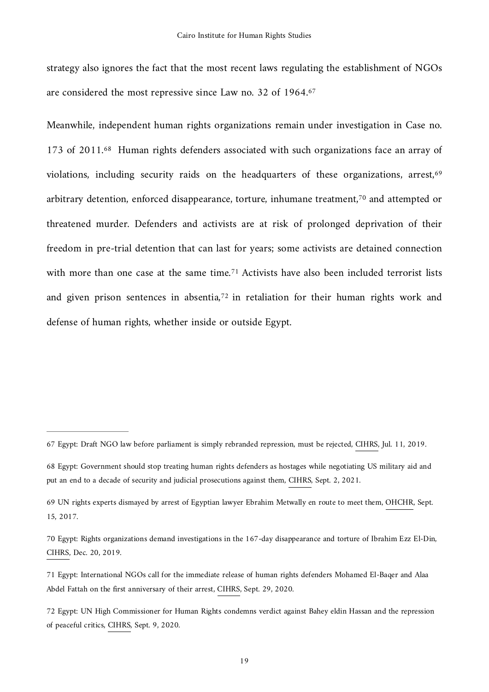<span id="page-18-6"></span>strategy also ignores the fact that the most recent laws regulating the establishment of NGOs are considered the most repressive since Law no. 32 of 1964[.67](#page-18-0)

<span id="page-18-10"></span><span id="page-18-9"></span><span id="page-18-8"></span><span id="page-18-7"></span>Meanwhile, independent human rights organizations remain under investigation in Case no. 173 of 2011.<sup>[68](#page-18-1)</sup> Human rights defenders associated with such organizations face an array of violations, including security raids on the headquarters of these organizations, arrest,<sup>69</sup> arbitrarydetention, enforced disappearance, torture, inhumane treatment,<sup> $70$ </sup> and attempted or threatened murder. Defenders and activists are at risk of prolonged deprivation of their freedom in pre-trial detention that can last for years; some activists are detained connection withmore than one case at the same time.<sup>[71](#page-18-4)</sup> Activists have also been included terrorist lists and given prison sentences in absentia[,](#page-18-5) $72$  in retaliation for their human rights work and defense of human rights, whether inside or outside Egypt.

<span id="page-18-11"></span><span id="page-18-0"></span>[<sup>67</sup>](#page-18-6) Egypt: Draft NGO law before parliament is simply rebranded repression, must be rejected, [CIHRS,](https://cihrs.org/egypt-ngo-bill-before-parliament-is-simply-rebranded-repression-must-be-rejected/?lang=en) Jul. 11, 2019.

<span id="page-18-1"></span>[<sup>68</sup>](#page-18-7) Egypt: Government should stop treating human rights defenders as hostages while negotiating US military aid and put an end to a decade of security and judicial prosecutions against them, [CIHRS](https://cihrs.org/egypt-decade-long-prosecution-of-case-173-must-end-if-there-is-to-be-genuine-progress-on-human-rights-tied-to-us-military-aid/?lang=en), Sept. 2, 2021.

<span id="page-18-2"></span>[<sup>69</sup>](#page-18-8) UN rights experts dismayed by arrest of Egyptian lawyer Ebrahim Metwally en route to meet them, [OHCHR,](https://www.ohchr.org/EN/NewsEvents/Pages/DisplayNews.aspx?NewsID=22079&LangID=en) Sept. 15, 2017.

<span id="page-18-3"></span>[<sup>70</sup>](#page-18-9) Egypt: Rights organizations demand investigations in the 167-day disappearance and torture of Ibrahim Ezz El-Din, [CIHRS](https://cihrs.org/egypt-rights-organizations-demand-investigations-in-the-176-day-disappearance-and-torture-of-ibrahim-ezz-el-din/?lang=en), Dec. 20, 2019.

<span id="page-18-4"></span>[<sup>71</sup>](#page-18-10) Egypt: International NGOs call for the immediate release of human rights defenders Mohamed El-Baqer and Alaa Abdel Fattah on the first anniversary of their arrest, [CIHRS,](https://cihrs.org/egypt-international-ngos-call-for-the-immediate-release-of-human-rights-defenders-mohamed-el-baqer-and-alaa-abdel-fattah-on-the-first-anniversary-of-their-arrest/?lang=en) Sept. 29, 2020.

<span id="page-18-5"></span>[<sup>72</sup>](#page-18-11) Egypt: UN High Commissioner for Human Rights condemns verdict against Bahey eldin Hassan and the repression of peaceful critics, [CIHRS](https://cihrs.org/egypt-un-high-commissioner-for-human-rights-condemns-verdict-against-bahey-eldin-hassan-and-the-repression-of-peaceful-critics/?lang=en), Sept. 9, 2020.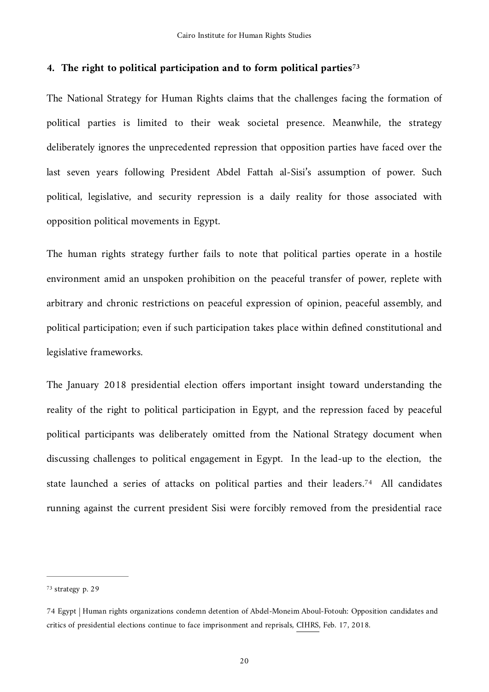### <span id="page-19-2"></span>**4. The right to political participation and to form political partie[s73](#page-19-0)**

The National Strategy for Human Rights claims that the challenges facing the formation of political parties is limited to their weak societal presence. Meanwhile, the strategy deliberately ignores the unprecedented repression that opposition parties have faced over the last seven years following President Abdel Fattah al-Sisi's assumption of power. Such political, legislative, and security repression is a daily reality for those associated with opposition political movements in Egypt.

The human rights strategy further fails to note that political parties operate in a hostile environment amid an unspoken prohibition on the peaceful transfer of power, replete with arbitrary and chronic restrictions on peaceful expression of opinion, peaceful assembly, and political participation; even if such participation takes place within defined constitutional and legislative frameworks.

<span id="page-19-3"></span>The January 2018 presidential election offers important insight toward understanding the reality of the right to political participation in Egypt, and the repression faced by peaceful political participants was deliberately omitted from the National Strategy document when discussing challenges to political engagement in Egypt. In the lead-up to the election, the state launched a series of attacks on political parties and their leaders.<sup>[74](#page-19-1)</sup> All candidates running against the current president Sisi were forcibly removed from the presidential race

<span id="page-19-0"></span>[<sup>73</sup>](#page-19-2) strategy p. 29

<span id="page-19-1"></span>[<sup>74</sup>](#page-19-3) Egypt | Human rights organizations condemn detention of Abdel-Moneim Aboul-Fotouh: Opposition candidates and critics of presidential elections continue to face imprisonment and reprisals, [CIHRS,](https://cihrs.org/egypt-human-rights-organizations-condemn-detention-abdel-moneim-aboul-fotouh-opposition-candidates-critics-presidential-elections-continue-face-imprisonment-reprisals/?lang=en) Feb. 17, 2018.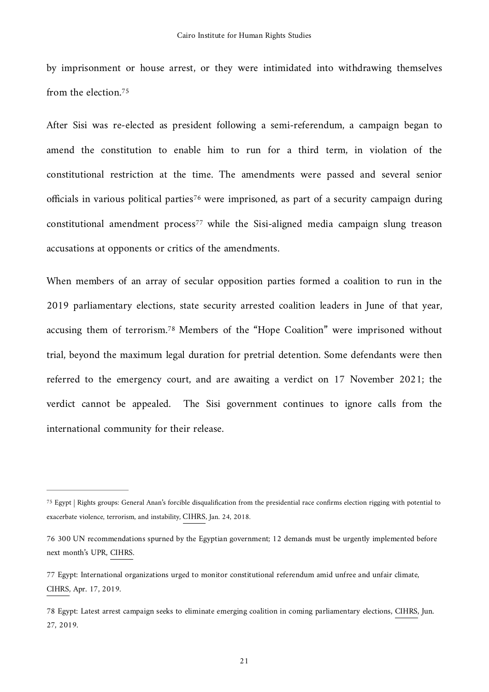<span id="page-20-4"></span>by imprisonment or house arrest, or they were intimidated into withdrawing themselves from the election[.75](#page-20-0)

<span id="page-20-5"></span>After Sisi was re-elected as president following a semi-referendum, a campaign began to amend the constitution to enable him to run for a third term, in violation of the constitutional restriction at the time. The amendments were passed and several senior officialsin various political parties<sup>[76](#page-20-1)</sup> were imprisoned, as part of a security campaign during con[s](#page-20-2)titutional amendment process<sup>[77](#page-20-2)</sup> while the Sisi-aligned media campaign slung treason accusations at opponents or critics of the amendments.

<span id="page-20-7"></span><span id="page-20-6"></span>When members of an array of secular opposition parties formed a coalition to run in the 2019 parliamentary elections, state security arrested coalition leaders in June of that year, accusing them of terrorism.<sup>[78](#page-20-3)</sup> Members of the "Hope Coalition" were imprisoned without trial, beyond the maximum legal duration for pretrial detention. Some defendants were then referred to the emergency court, and are awaiting a verdict on 17 November 2021; the verdict cannot be appealed. The Sisi government continues to ignore calls from the international community for their release.

<span id="page-20-0"></span><sup>&</sup>lt;sup>[75](#page-20-4)</sup> Egypt | Rights groups: General Anan's forcible disqualification from the presidential race confirms election rigging with potential to exacerbate violence, terrorism, and instability, [CIHRS,](https://cihrs.org/rights-groups-general-anans-forcible-disqualification-presidential-race-confirms-election-rigging-potential-exacerbate-violence-terrorism-instability/?lang=en) Jan. 24, 2018.

<span id="page-20-1"></span>[<sup>76</sup>](#page-20-5) 300 UN recommendations spurned by the Egyptian government; 12 demands must be urgently implemented before next month's UPR, [CIHRS.](https://cihrs.org/300-un-recommendations-spurned-by-the-egyptian-government-12-demands-must-be-urgently-implemented-before-next-months-upr/?lang=en)

<span id="page-20-2"></span>[<sup>77</sup>](#page-20-6) Egypt: International organizations urged to monitor constitutional referendum amid unfree and unfair climate, [CIHRS](https://cihrs.org/egypt-international-organizations-urged-to-monitor-constitutional-referendum-amid-repressive-climate/?lang=en), Apr. 17, 2019.

<span id="page-20-3"></span>[<sup>78</sup>](#page-20-7) Egypt: Latest arrest campaign seeks to eliminate emerging coalition in coming parliamentary elections, [CIHRS,](https://cihrs.org/egypt-latest-arrest-campaign-seeks-to-eliminate-emerging-coalition-in-coming-parliamentary-elections/?lang=en) Jun. 27, 2019.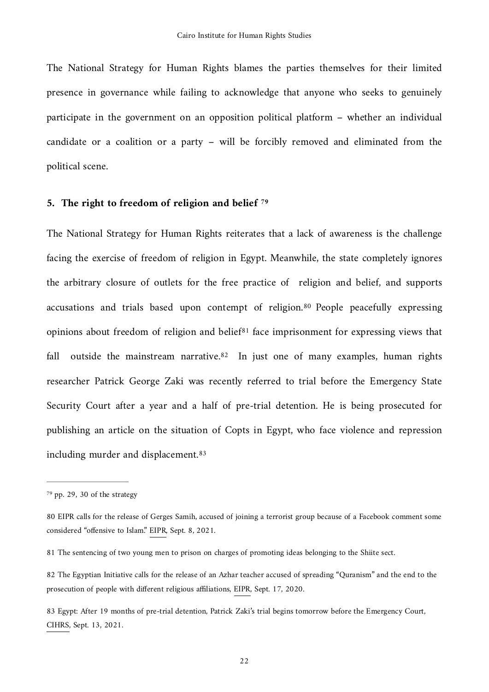The National Strategy for Human Rights blames the parties themselves for their limited presence in governance while failing to acknowledge that anyone who seeks to genuinely participate in the government on an opposition political platform – whether an individual candidate or a coalition or a party – will be forcibly removed and eliminated from the political scene.

### <span id="page-21-5"></span>**5. The right to freedom of religion and belief [79](#page-21-0)**

<span id="page-21-8"></span><span id="page-21-7"></span><span id="page-21-6"></span>The National Strategy for Human Rights reiterates that a lack of awareness is the challenge facing the exercise of freedom of religion in Egypt. Meanwhile, the state completely ignores the arbitrary closure of outlets for the free practice of religion and belief, and supports accusationsand trials based upon contempt of religion.<sup>[80](#page-21-1)</sup> People peacefully expressing opinions about freedom o[f](#page-21-2) religion and belief<sup>[81](#page-21-2)</sup> face imprisonment for expressing views that falloutside the mainstream narrative.  $82$  In just one of many examples, human rights researcher Patrick George Zaki was recently referred to trial before the Emergency State Security Court after a year and a half of pre-trial detention. He is being prosecuted for publishing an article on the situation of Copts in Egypt, who face violence and repression including murder and displacement[.83](#page-21-4)

<span id="page-21-9"></span><span id="page-21-0"></span>[<sup>79</sup>](#page-21-5) pp. 29, 30 of the strategy

<span id="page-21-1"></span>[<sup>80</sup>](#page-21-6) EIPR calls for the release of Gerges Samih, accused of joining a terrorist group because of a Facebook comment some considered "offensive to Islam." [EIPR,](https://eipr.org/press/2021/09/%25D8%25A7%25D9%2584%25D9%2585%25D8%25A8%25D8%25A7%25D8%25AF%25D8%25B1%25D8%25A9-%25D8%25A7%25D9%2584%25D9%2585%25D8%25B5%25D8%25B1%25D9%258A%25D8%25A9-%25D8%25AA%25D8%25AF%25D8%25B9%25D9%2588-%25D9%2584%25D8%25A5%25D8%25AE%25D9%2584%25D8%25A7%25D8%25A1-%25D8%25B3%25D8%25A8%25D9%258A%25D9%2584-%25D8%25AC%25D8%25B1%25D8%25AC%25D8%25B3-%25D8%25B3%25D9%2585%25D9%258A%25D8%25AD%25E2%2580%25A6-%25D9%2585%25D8%25AA%25D9%2587%25D9%2585-%25D8%25A8%25D8%25A7%25D9%2584%25D8%25A7%25D9%2586%25D8%25B6%25D9%2585%25D8%25A7%25D9%2585-%25D9%2584%25D8%25AC%25D9%2585%25D8%25A7%25D8%25B9%25D8%25A9-%25D8%25A5%25D8%25B1%25D9%2587%25D8%25A7%25D8%25A8%25D9%258A%25D8%25A9-%25D8%25A8%25D8%25B3%25D8%25A8%25D8%25A8-%25D8%25AA%25D8%25B9%25D9%2584%25D9%258A%25D9%2582) Sept. 8, 2021.

<span id="page-21-2"></span>[<sup>81</sup>](#page-21-7) The sentencing of two young men to prison on charges of promoting ideas belonging to the Shiite sect.

<span id="page-21-3"></span>[<sup>82</sup>](#page-21-8) The Egyptian Initiative calls for the release of an Azhar teacher accused of spreading "Quranism" and the end to the prosecution of people with different religious affiliations, [EIPR](https://eipr.org/en/press/2020/09/egyptian-initiative-calls-release-azhar-teacher-accused-spreading-quranism-and-end), Sept. 17, 2020.

<span id="page-21-4"></span>[<sup>83</sup>](#page-21-9) Egypt: After 19 months of pre-trial detention, Patrick Zaki's trial begins tomorrow before the Emergency Court, [CIHRS](https://cihrs.org/egypt-after-19-months-of-pre-trial-detention-patrick-zakis-trial-begins-tomorrow-before-the-emergency-court/?lang=en), Sept. 13, 2021.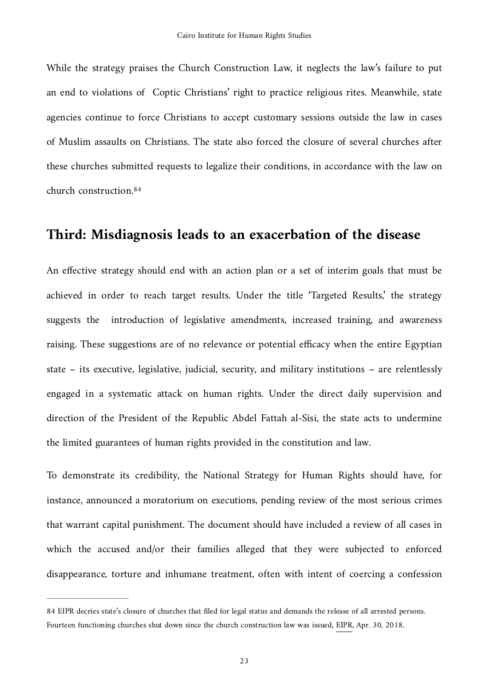While the strategy praises the Church Construction Law, it neglects the law's failure to put an end to violations of Coptic Christians' right to practice religious rites. Meanwhile, state agencies continue to force Christians to accept customary sessions outside the law in cases of Muslim assaults on Christians. The state also forced the closure of several churches after these churches submitted requests to legalize their conditions, in accordance with the law on church construction.[84](#page-22-0)

### <span id="page-22-1"></span>**Third: Misdiagnosis leads to an exacerbation of the disease**

An effective strategy should end with an action plan or a set of interim goals that must be achieved in order to reach target results. Under the title 'Targeted Results,' the strategy suggests the introduction of legislative amendments, increased training, and awareness raising. These suggestions are of no relevance or potential efficacy when the entire Egyptian state – its executive, legislative, judicial, security, and military institutions – are relentlessly engaged in a systematic attack on human rights. Under the direct daily supervision and direction of the President of the Republic Abdel Fattah al-Sisi, the state acts to undermine the limited guarantees of human rights provided in the constitution and law.

To demonstrate its credibility, the National Strategy for Human Rights should have, for instance, announced a moratorium on executions, pending review of the most serious crimes that warrant capital punishment. The document should have included a review of all cases in which the accused and/or their families alleged that they were subjected to enforced disappearance, torture and inhumane treatment, often with intent of coercing a confession

<span id="page-22-0"></span>[<sup>84</sup>](#page-22-1) EIPR decries state's closure of churches that filed for legal status and demands the release of all arrested persons. Fourteen functioning churches shut down since the church construction law was issued, [EIPR](https://eipr.org/en/press/2018/04/eipr-decries-state%25E2%2580%2599s-closure-churches-filed-legal-status-and-demands-release-all), Apr. 30, 2018.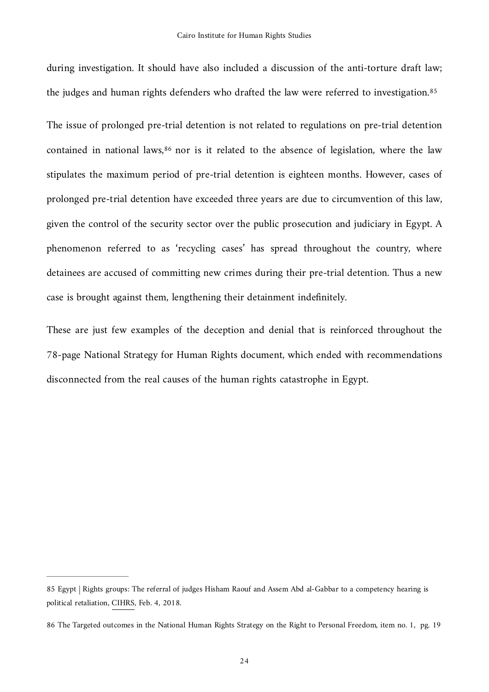<span id="page-23-2"></span>during investigation. It should have also included a discussion of the anti-torture draft law; the judges and human rights defenders who drafted the law were referred to investigation[.85](#page-23-0)

<span id="page-23-3"></span>The issue of prolonged pre-trial detention is not related to regulations on pre-trial detention contained in national laws,  $86$  nor is it related to the absence of legislation, where the law stipulates the maximum period of pre-trial detention is eighteen months. However, cases of prolonged pre-trial detention have exceeded three years are due to circumvention of this law, given the control of the security sector over the public prosecution and judiciary in Egypt. A phenomenon referred to as 'recycling cases' has spread throughout the country, where detainees are accused of committing new crimes during their pre-trial detention. Thus a new case is brought against them, lengthening their detainment indefinitely.

These are just few examples of the deception and denial that is reinforced throughout the 78-page National Strategy for Human Rights document, which ended with recommendations disconnected from the real causes of the human rights catastrophe in Egypt.

<span id="page-23-0"></span>[<sup>85</sup>](#page-23-2) Egypt | Rights groups: The referral of judges Hisham Raouf and Assem Abd al-Gabbar to a competency hearing is political retaliation, [CIHRS](https://cihrs.org/rights-groups-referral-judges-hisham-raouf-assem-abd-al-gabbar-competency-hearing-political-retaliation/?lang=en), Feb. 4, 2018.

<span id="page-23-1"></span>[<sup>86</sup>](#page-23-3) The Targeted outcomes in the National Human Rights Strategy on the Right to Personal Freedom, item no. 1, pg. 19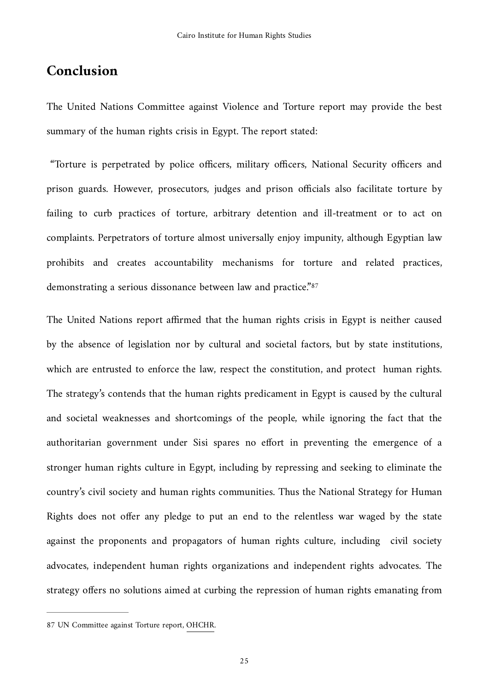### **Conclusion**

The United Nations Committee against Violence and Torture report may provide the best summary of the human rights crisis in Egypt. The report stated:

 "Torture is perpetrated by police officers, military officers, National Security officers and prison guards. However, prosecutors, judges and prison officials also facilitate torture by failing to curb practices of torture, arbitrary detention and ill-treatment or to act on complaints. Perpetrators of torture almost universally enjoy impunity, although Egyptian law prohibits and creates accountability mechanisms for torture and related practices, demonstrating a serious dissonance between law and practice."[87](#page-24-0)

<span id="page-24-1"></span>The United Nations report affirmed that the human rights crisis in Egypt is neither caused by the absence of legislation nor by cultural and societal factors, but by state institutions, which are entrusted to enforce the law, respect the constitution, and protect human rights. The strategy's contends that the human rights predicament in Egypt is caused by the cultural and societal weaknesses and shortcomings of the people, while ignoring the fact that the authoritarian government under Sisi spares no effort in preventing the emergence of a stronger human rights culture in Egypt, including by repressing and seeking to eliminate the country's civil society and human rights communities. Thus the National Strategy for Human Rights does not offer any pledge to put an end to the relentless war waged by the state against the proponents and propagators of human rights culture, including civil society advocates, independent human rights organizations and independent rights advocates. The strategy offers no solutions aimed at curbing the repression of human rights emanating from

<span id="page-24-0"></span>[<sup>87</sup>](#page-24-1) UN Committee against Torture report, [OHCHR](https://tbinternet.ohchr.org/_layouts/15/treatybodyexternal/Download.aspx?symbolno=A/72/44&amp;Lang=en).